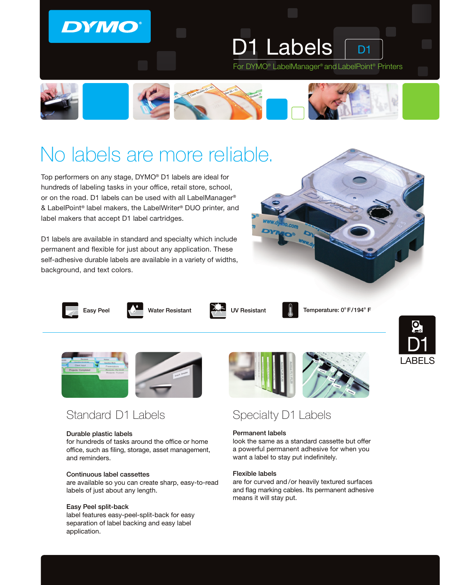### **DYMO**

1 Labels **D1** For DYMO® LabelManager® and LabelPoint® Printers



# No labels are more reliable.

Top performers on any stage, DYMO® D1 labels are ideal for hundreds of labeling tasks in your office, retail store, school, or on the road. D1 labels can be used with all LabelManager® & LabelPoint® label makers, the LabelWriter® DUO printer, and label makers that accept D1 label cartridges.

D1 labels are available in standard and specialty which include permanent and flexible for just about any application. These self-adhesive durable labels are available in a variety of widths, background, and text colors.









Easy Peel Water Resistant Temperature: 0o F/194o UV Resistant F



LABELS



#### Durable plastic labels

for hundreds of tasks around the office or home office, such as filing, storage, asset management, and reminders.

#### Continuous label cassettes

are available so you can create sharp, easy-to-read labels of just about any length.

#### Easy Peel split-back

label features easy-peel-split-back for easy separation of label backing and easy label application.



### Specialty D1 Labels

#### Permanent labels

look the same as a standard cassette but offer a powerful permanent adhesive for when you want a label to stay put indefinitely.

#### Flexible labels

are for curved and /or heavily textured surfaces and flag marking cables. Its permanent adhesive means it will stay put.